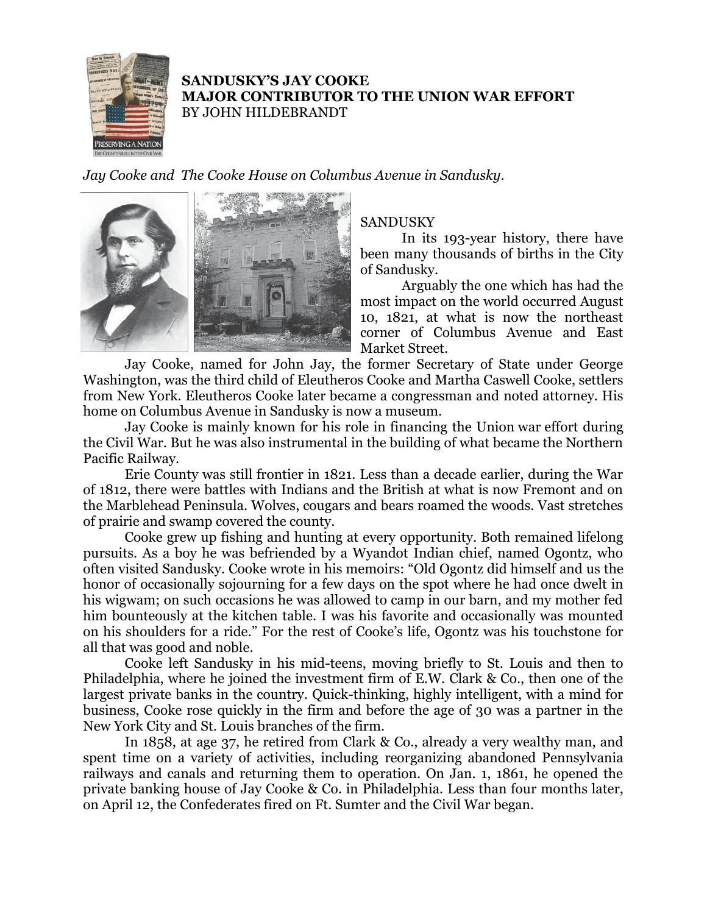

## **SANDUSKY'S JAY COOKE MAJOR CONTRIBUTOR TO THE UNION WAR EFFORT** BY JOHN HILDEBRANDT

*Jay Cooke and The Cooke House on Columbus Avenue in Sandusky.*



## SANDUSKY

In its 193-year history, there have been many thousands of births in the City of Sandusky.

Arguably the one which has had the most impact on the world occurred August 10, 1821, at what is now the northeast corner of Columbus Avenue and East Market Street.

Jay Cooke, named for John Jay, the former Secretary of State under George Washington, was the third child of Eleutheros Cooke and Martha Caswell Cooke, settlers from New York. Eleutheros Cooke later became a congressman and noted attorney. His home on Columbus Avenue in Sandusky is now a museum.

Jay Cooke is mainly known for his role in financing the Union war effort during the Civil War. But he was also instrumental in the building of what became the Northern Pacific Railway.

Erie County was still frontier in 1821. Less than a decade earlier, during the War of 1812, there were battles with Indians and the British at what is now Fremont and on the Marblehead Peninsula. Wolves, cougars and bears roamed the woods. Vast stretches of prairie and swamp covered the county.

Cooke grew up fishing and hunting at every opportunity. Both remained lifelong pursuits. As a boy he was befriended by a Wyandot Indian chief, named Ogontz, who often visited Sandusky. Cooke wrote in his memoirs: "Old Ogontz did himself and us the honor of occasionally sojourning for a few days on the spot where he had once dwelt in his wigwam; on such occasions he was allowed to camp in our barn, and my mother fed him bounteously at the kitchen table. I was his favorite and occasionally was mounted on his shoulders for a ride." For the rest of Cooke's life, Ogontz was his touchstone for all that was good and noble.

Cooke left Sandusky in his mid-teens, moving briefly to St. Louis and then to Philadelphia, where he joined the investment firm of E.W. Clark & Co., then one of the largest private banks in the country. Quick-thinking, highly intelligent, with a mind for business, Cooke rose quickly in the firm and before the age of 30 was a partner in the New York City and St. Louis branches of the firm.

In 1858, at age 37, he retired from Clark & Co., already a very wealthy man, and spent time on a variety of activities, including reorganizing abandoned Pennsylvania railways and canals and returning them to operation. On Jan. 1, 1861, he opened the private banking house of Jay Cooke & Co. in Philadelphia. Less than four months later, on April 12, the Confederates fired on Ft. Sumter and the Civil War began.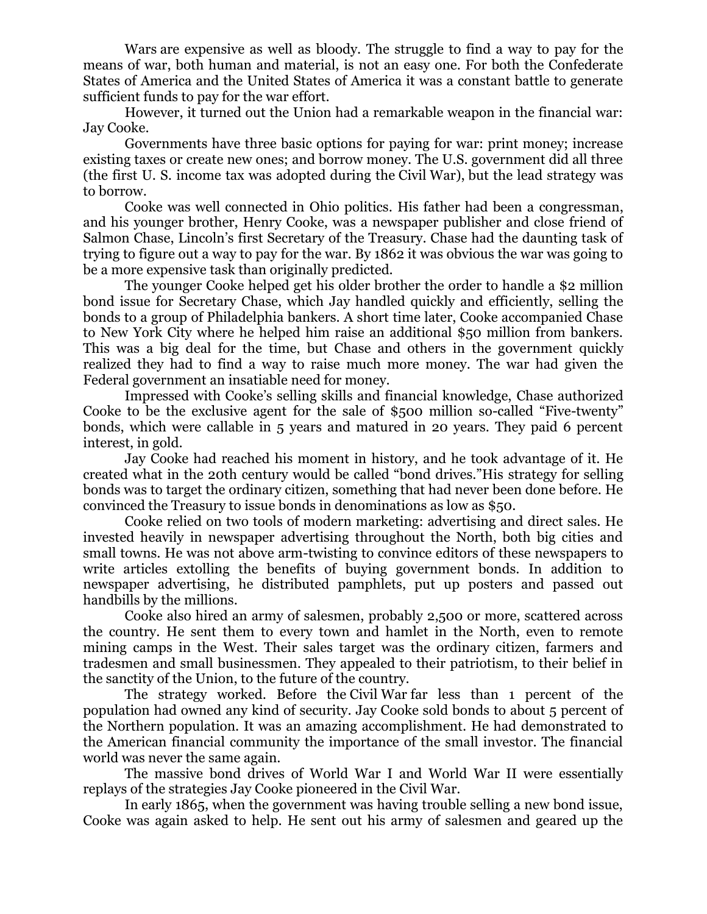Wars are expensive as well as bloody. The struggle to find a way to pay for the means of war, both human and material, is not an easy one. For both the Confederate States of America and the United States of America it was a constant battle to generate sufficient funds to pay for the war effort.

However, it turned out the Union had a remarkable weapon in the financial war: Jay Cooke.

Governments have three basic options for paying for war: print money; increase existing taxes or create new ones; and borrow money. The U.S. government did all three (the first U. S. income tax was adopted during the Civil War), but the lead strategy was to borrow.

Cooke was well connected in Ohio politics. His father had been a congressman, and his younger brother, Henry Cooke, was a newspaper publisher and close friend of Salmon Chase, Lincoln's first Secretary of the Treasury. Chase had the daunting task of trying to figure out a way to pay for the war. By 1862 it was obvious the war was going to be a more expensive task than originally predicted.

The younger Cooke helped get his older brother the order to handle a \$2 million bond issue for Secretary Chase, which Jay handled quickly and efficiently, selling the bonds to a group of Philadelphia bankers. A short time later, Cooke accompanied Chase to New York City where he helped him raise an additional \$50 million from bankers. This was a big deal for the time, but Chase and others in the government quickly realized they had to find a way to raise much more money. The war had given the Federal government an insatiable need for money.

Impressed with Cooke's selling skills and financial knowledge, Chase authorized Cooke to be the exclusive agent for the sale of \$500 million so-called "Five-twenty" bonds, which were callable in 5 years and matured in 20 years. They paid 6 percent interest, in gold.

Jay Cooke had reached his moment in history, and he took advantage of it. He created what in the 20th century would be called "bond drives."His strategy for selling bonds was to target the ordinary citizen, something that had never been done before. He convinced the Treasury to issue bonds in denominations as low as \$50.

Cooke relied on two tools of modern marketing: advertising and direct sales. He invested heavily in newspaper advertising throughout the North, both big cities and small towns. He was not above arm-twisting to convince editors of these newspapers to write articles extolling the benefits of buying government bonds. In addition to newspaper advertising, he distributed pamphlets, put up posters and passed out handbills by the millions.

Cooke also hired an army of salesmen, probably 2,500 or more, scattered across the country. He sent them to every town and hamlet in the North, even to remote mining camps in the West. Their sales target was the ordinary citizen, farmers and tradesmen and small businessmen. They appealed to their patriotism, to their belief in the sanctity of the Union, to the future of the country.

The strategy worked. Before the Civil War far less than 1 percent of the population had owned any kind of security. Jay Cooke sold bonds to about 5 percent of the Northern population. It was an amazing accomplishment. He had demonstrated to the American financial community the importance of the small investor. The financial world was never the same again.

The massive bond drives of World War I and World War II were essentially replays of the strategies Jay Cooke pioneered in the Civil War.

In early 1865, when the government was having trouble selling a new bond issue, Cooke was again asked to help. He sent out his army of salesmen and geared up the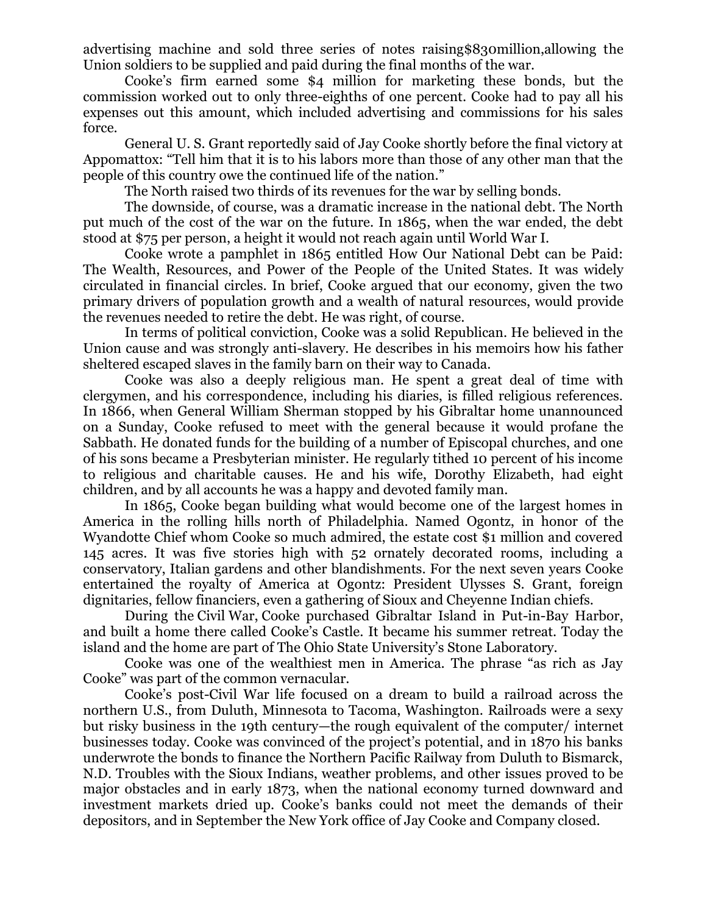advertising machine and sold three series of notes raising\$830million,allowing the Union soldiers to be supplied and paid during the final months of the war.

Cooke's firm earned some \$4 million for marketing these bonds, but the commission worked out to only three-eighths of one percent. Cooke had to pay all his expenses out this amount, which included advertising and commissions for his sales force.

General U. S. Grant reportedly said of Jay Cooke shortly before the final victory at Appomattox: "Tell him that it is to his labors more than those of any other man that the people of this country owe the continued life of the nation."

The North raised two thirds of its revenues for the war by selling bonds.

The downside, of course, was a dramatic increase in the national debt. The North put much of the cost of the war on the future. In 1865, when the war ended, the debt stood at \$75 per person, a height it would not reach again until World War I.

Cooke wrote a pamphlet in 1865 entitled How Our National Debt can be Paid: The Wealth, Resources, and Power of the People of the United States. It was widely circulated in financial circles. In brief, Cooke argued that our economy, given the two primary drivers of population growth and a wealth of natural resources, would provide the revenues needed to retire the debt. He was right, of course.

In terms of political conviction, Cooke was a solid Republican. He believed in the Union cause and was strongly anti-slavery. He describes in his memoirs how his father sheltered escaped slaves in the family barn on their way to Canada.

Cooke was also a deeply religious man. He spent a great deal of time with clergymen, and his correspondence, including his diaries, is filled religious references. In 1866, when General William Sherman stopped by his Gibraltar home unannounced on a Sunday, Cooke refused to meet with the general because it would profane the Sabbath. He donated funds for the building of a number of Episcopal churches, and one of his sons became a Presbyterian minister. He regularly tithed 10 percent of his income to religious and charitable causes. He and his wife, Dorothy Elizabeth, had eight children, and by all accounts he was a happy and devoted family man.

In 1865, Cooke began building what would become one of the largest homes in America in the rolling hills north of Philadelphia. Named Ogontz, in honor of the Wyandotte Chief whom Cooke so much admired, the estate cost \$1 million and covered 145 acres. It was five stories high with 52 ornately decorated rooms, including a conservatory, Italian gardens and other blandishments. For the next seven years Cooke entertained the royalty of America at Ogontz: President Ulysses S. Grant, foreign dignitaries, fellow financiers, even a gathering of Sioux and Cheyenne Indian chiefs.

During the Civil War, Cooke purchased Gibraltar Island in Put-in-Bay Harbor, and built a home there called Cooke's Castle. It became his summer retreat. Today the island and the home are part of The Ohio State University's Stone Laboratory.

Cooke was one of the wealthiest men in America. The phrase "as rich as Jay Cooke" was part of the common vernacular.

Cooke's post-Civil War life focused on a dream to build a railroad across the northern U.S., from Duluth, Minnesota to Tacoma, Washington. Railroads were a sexy but risky business in the 19th century—the rough equivalent of the computer/ internet businesses today. Cooke was convinced of the project's potential, and in 1870 his banks underwrote the bonds to finance the Northern Pacific Railway from Duluth to Bismarck, N.D. Troubles with the Sioux Indians, weather problems, and other issues proved to be major obstacles and in early 1873, when the national economy turned downward and investment markets dried up. Cooke's banks could not meet the demands of their depositors, and in September the New York office of Jay Cooke and Company closed.